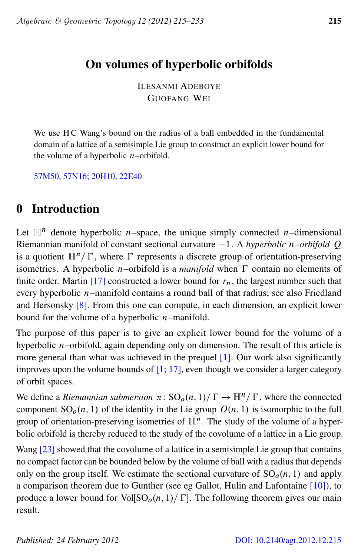# On volumes of hyperbolic orbifolds

ILESANMI ADEBOYE GUOFANG WEI

We use H C Wang's bound on the radius of a ball embedded in the fundamental domain of a lattice of a semisimple Lie group to construct an explicit lower bound for the volume of a hyperbolic  $n$ -orbifold.

[57M50, 57N16; 20H10, 22E40](http://www.ams.org/mathscinet/search/mscdoc.html?code=57M50, 57N16,(20H10, 22E40))

# 0 Introduction

Let  $\mathbb{H}^n$  denote hyperbolic *n*-space, the unique simply connected *n*-dimensional Riemannian manifold of constant sectional curvature  $-1$ . A *hyperbolic n–orbifold Q* is a quotient  $\mathbb{H}^n/\Gamma$ , where  $\Gamma$  represents a discrete group of orientation-preserving isometries. A hyperbolic *n*–orbifold is a *manifold* when  $\Gamma$  contain no elements of finite order. Martin [\[17\]](#page-18-0) constructed a lower bound for  $r_n$ , the largest number such that every hyperbolic n–manifold contains a round ball of that radius; see also Friedland and Hersonsky [\[8\]](#page-17-0). From this one can compute, in each dimension, an explicit lower bound for the volume of a hyperbolic  $n$ -manifold.

The purpose of this paper is to give an explicit lower bound for the volume of a hyperbolic  $n$ –orbifold, again depending only on dimension. The result of this article is more general than what was achieved in the prequel [\[1\]](#page-17-1). Our work also significantly improves upon the volume bounds of  $[1; 17]$  $[1; 17]$  $[1; 17]$ , even though we consider a larger category of orbit spaces.

We define a *Riemannian submersion*  $\pi: SO_o(n, 1)/\Gamma \to \mathbb{H}^n/\Gamma$ , where the connected component  $SO<sub>0</sub>(n, 1)$  of the identity in the Lie group  $O(n, 1)$  is isomorphic to the full group of orientation-preserving isometries of  $\mathbb{H}^n$ . The study of the volume of a hyperbolic orbifold is thereby reduced to the study of the covolume of a lattice in a Lie group.

<span id="page-0-0"></span>Wang [\[23\]](#page-18-1) showed that the covolume of a lattice in a semisimple Lie group that contains no compact factor can be bounded below by the volume of ball with a radius that depends only on the group itself. We estimate the sectional curvature of  $SO<sub>o</sub>(n, 1)$  and apply a comparison theorem due to Gunther (see eg Gallot, Hulin and Lafontaine [\[10\]](#page-18-2)), to produce a lower bound for Vol[SO<sub>o</sub> $(n, 1)/\Gamma$ ]. The following theorem gives our main result.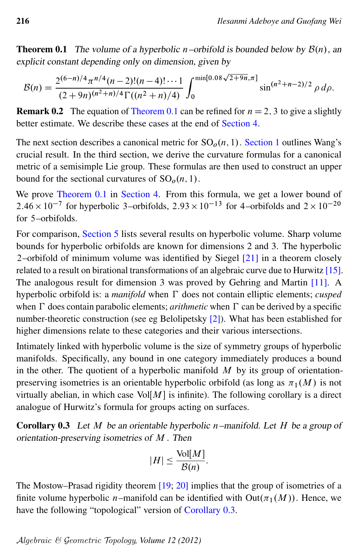**Theorem 0.1** The volume of a hyperbolic n–orbifold is bounded below by  $\mathcal{B}(n)$ , an explicit constant depending only on dimension, given by

$$
\mathcal{B}(n) = \frac{2^{(6-n)/4} \pi^{n/4} (n-2)!(n-4)! \cdots 1}{(2+9n)^{(n^2+n)/4} \Gamma((n^2+n)/4)} \int_0^{\min[0.08\sqrt{2+9n}, \pi]} \sin^{(n^2+n-2)/2} \rho \, d\rho.
$$

**Remark 0.2** The equation of [Theorem 0.1](#page-0-0) can be refined for  $n = 2$ , 3 to give a slightly better estimate. We describe these cases at the end of [Section 4.](#page-13-0)

The next section describes a canonical metric for  $SO<sub>0</sub>(n, 1)$ . [Section 1](#page-2-0) outlines Wang's crucial result. In the third section, we derive the curvature formulas for a canonical metric of a semisimple Lie group. These formulas are then used to construct an upper bound for the sectional curvatures of  $SO<sub>o</sub>(n, 1)$ .

We prove [Theorem 0.1](#page-0-0) in [Section 4.](#page-13-0) From this formula, we get a lower bound of  $2.46 \times 10^{-7}$  for hyperbolic 3-orbifolds,  $2.93 \times 10^{-13}$  for 4-orbifolds and  $2 \times 10^{-20}$ for 5–orbifolds.

For comparison, [Section 5](#page-16-0) lists several results on hyperbolic volume. Sharp volume bounds for hyperbolic orbifolds are known for dimensions 2 and 3. The hyperbolic 2–orbifold of minimum volume was identified by Siegel [\[21\]](#page-18-3) in a theorem closely related to a result on birational transformations of an algebraic curve due to Hurwitz [\[15\]](#page-18-4). The analogous result for dimension 3 was proved by Gehring and Martin [\[11\]](#page-18-5). A hyperbolic orbifold is: a *manifold* when  $\Gamma$  does not contain elliptic elements; *cusped* when  $\Gamma$  does contain parabolic elements; *arithmetic* when  $\Gamma$  can be derived by a specific number-theoretic construction (see eg Belolipetsky [\[2\]](#page-17-2)). What has been established for higher dimensions relate to these categories and their various intersections.

Intimately linked with hyperbolic volume is the size of symmetry groups of hyperbolic manifolds. Specifically, any bound in one category immediately produces a bound in the other. The quotient of a hyperbolic manifold  $M$  by its group of orientationpreserving isometries is an orientable hyperbolic orbifold (as long as  $\pi_1(M)$  is not virtually abelian, in which case  $Vol[M]$  is infinite). The following corollary is a direct analogue of Hurwitz's formula for groups acting on surfaces.

<span id="page-1-0"></span>**Corollary 0.3** Let  $M$  be an orientable hyperbolic n–manifold. Let  $H$  be a group of orientation-preserving isometries of M . Then

$$
|H| \le \frac{\text{Vol}[M]}{\mathcal{B}(n)}.
$$

The Mostow–Prasad rigidity theorem [\[19;](#page-18-6) [20\]](#page-18-7) implies that the group of isometries of a finite volume hyperbolic *n*–manifold can be identified with  $Out(\pi_1(M))$ . Hence, we have the following "topological" version of [Corollary 0.3.](#page-1-0)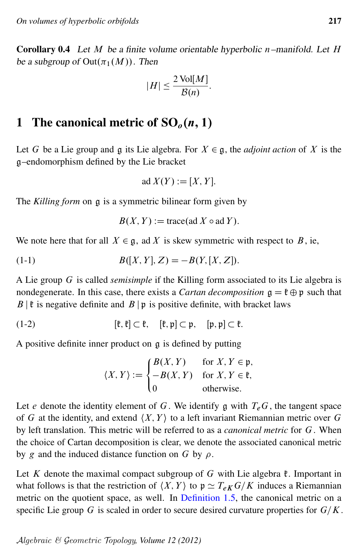**Corollary 0.4** Let  $M$  be a finite volume orientable hyperbolic n–manifold. Let  $H$ be a subgroup of  $Out(\pi_1(M))$ . Then

$$
|H| \le \frac{2 \text{ Vol}[M]}{\mathcal{B}(n)}.
$$

## <span id="page-2-0"></span>1 The canonical metric of  $SO<sub>o</sub>(n, 1)$

Let G be a Lie group and g its Lie algebra. For  $X \in \mathfrak{g}$ , the *adjoint action* of X is the g–endomorphism defined by the Lie bracket

<span id="page-2-2"></span>
$$
ad X(Y) := [X, Y].
$$

The *Killing form* on g is a symmetric bilinear form given by

<span id="page-2-1"></span> $B(X, Y) :=$  trace(ad X  $\circ$  ad Y).

We note here that for all  $X \in \mathfrak{g}$ , ad X is skew symmetric with respect to B, ie,

(1-1) 
$$
B([X,Y],Z) = -B(Y,[X,Z]).
$$

A Lie group G is called *semisimple* if the Killing form associated to its Lie algebra is nondegenerate. In this case, there exists a *Cartan decomposition*  $g = \mathfrak{k} \oplus \mathfrak{p}$  such that  $B \mid \mathfrak{k}$  is negative definite and  $B \mid \mathfrak{p}$  is positive definite, with bracket laws

(1-2) 
$$
[\mathfrak{k},\mathfrak{k}] \subset \mathfrak{k}, \quad [\mathfrak{k},\mathfrak{p}] \subset \mathfrak{p}, \quad [\mathfrak{p},\mathfrak{p}] \subset \mathfrak{k}.
$$

A positive definite inner product on g is defined by putting

$$
\langle X, Y \rangle := \begin{cases} B(X, Y) & \text{for } X, Y \in \mathfrak{p}, \\ -B(X, Y) & \text{for } X, Y \in \mathfrak{k}, \\ 0 & \text{otherwise.} \end{cases}
$$

Let e denote the identity element of G. We identify g with  $T_eG$ , the tangent space of G at the identity, and extend  $\langle X, Y \rangle$  to a left invariant Riemannian metric over G by left translation. This metric will be referred to as a *canonical metric* for G. When the choice of Cartan decomposition is clear, we denote the associated canonical metric by g and the induced distance function on G by  $\rho$ .

Let K denote the maximal compact subgroup of G with Lie algebra  $\mathfrak k$ . Important in what follows is that the restriction of  $\langle X, Y \rangle$  to  $p \simeq T_{eK} G/K$  induces a Riemannian metric on the quotient space, as well. In [Definition 1.5,](#page-6-0) the canonical metric on a specific Lie group G is scaled in order to secure desired curvature properties for  $G/K$ .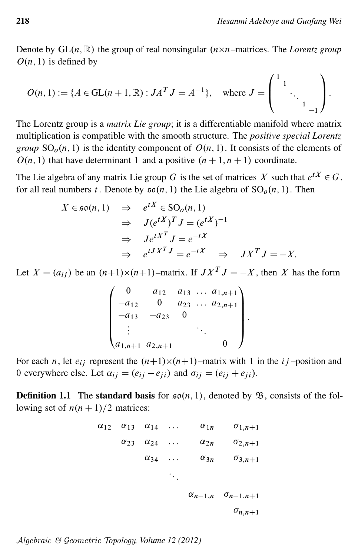Denote by  $GL(n, \mathbb{R})$  the group of real nonsingular  $(n \times n$ -matrices. The Lorentz group  $O(n, 1)$  is defined by

$$
O(n, 1) := \{ A \in GL(n+1, \mathbb{R}) : JA^T J = A^{-1} \}, \text{ where } J = \begin{pmatrix} 1 & & & \\ & 1 & & \\ & & \ddots & \\ & & & 1 & \\ & & & & -1 \end{pmatrix}.
$$

The Lorentz group is a *matrix Lie group*; it is a differentiable manifold where matrix multiplication is compatible with the smooth structure. The *positive special Lorentz group*  $SO<sub>0</sub>(n, 1)$  is the identity component of  $O(n, 1)$ . It consists of the elements of  $O(n, 1)$  that have determinant 1 and a positive  $(n + 1, n + 1)$  coordinate.

The Lie algebra of any matrix Lie group G is the set of matrices X such that  $e^{tX} \in G$ , for all real numbers t. Denote by  $\mathfrak{so}(n, 1)$  the Lie algebra of  $SO<sub>o</sub>(n, 1)$ . Then

$$
X \in \mathfrak{so}(n, 1) \quad \Rightarrow \quad e^{tX} \in \text{SO}_o(n, 1)
$$
\n
$$
\Rightarrow \quad J(e^{tX})^T J = (e^{tX})^{-1}
$$
\n
$$
\Rightarrow \quad Je^{tX^T} J = e^{-tX}
$$
\n
$$
\Rightarrow \quad e^{tJ X^T J} = e^{-tX} \quad \Rightarrow \quad JX^T J = -X.
$$

Let  $X = (a_{ij})$  be an  $(n+1)\times(n+1)$ -matrix. If  $JX^T J = -X$ , then X has the form

$$
\begin{pmatrix}\n0 & a_{12} & a_{13} & \dots & a_{1,n+1} \\
-a_{12} & 0 & a_{23} & \dots & a_{2,n+1} \\
-a_{13} & -a_{23} & 0 & & \\
\vdots & & & \ddots & \\
a_{1,n+1} & a_{2,n+1} & & & 0\n\end{pmatrix}
$$

For each *n*, let  $e_{ij}$  represent the  $(n+1)\times(n+1)$ -matrix with 1 in the *i* j-position and 0 everywhere else. Let  $\alpha_{ij} = (e_{ij} - e_{ji})$  and  $\sigma_{ij} = (e_{ij} + e_{ji})$ .

<span id="page-3-0"></span>**Definition 1.1** The standard basis for  $\mathfrak{so}(n,1)$ , denoted by  $\mathfrak{B}$ , consists of the following set of  $n(n + 1)/2$  matrices:

$$
\begin{array}{ccccccccc}\n\alpha_{12} & \alpha_{13} & \alpha_{14} & \dots & \alpha_{1n} & \sigma_{1,n+1} \\
\alpha_{23} & \alpha_{24} & \dots & \alpha_{2n} & \sigma_{2,n+1} \\
\vdots & \vdots & \vdots & \vdots & \vdots & \vdots \\
\alpha_{34} & \dots & \alpha_{3n} & \sigma_{3,n+1} \\
& & & & & \\
& & & & & \\
\vdots & & & & & \\
\alpha_{n-1,n} & \sigma_{n-1,n+1} & \sigma_{n,n+1} \\
\end{array}
$$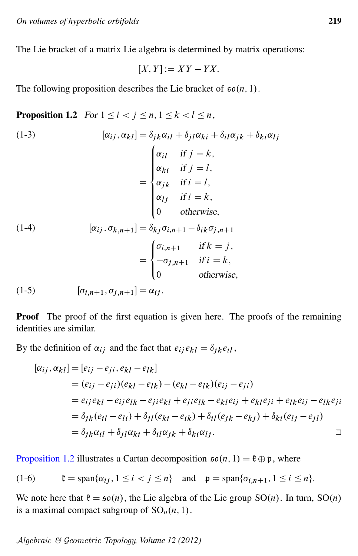The Lie bracket of a matrix Lie algebra is determined by matrix operations:

$$
[X, Y] := XY - YX.
$$

<span id="page-4-0"></span>The following proposition describes the Lie bracket of  $\mathfrak{so}(n, 1)$ .

**Proposition 1.2** For  $1 \leq i \leq j \leq n, 1 \leq k \leq l \leq n$ ,

(1-3)  
\n
$$
[\alpha_{ij}, \alpha_{kl}] = \delta_{jk}\alpha_{il} + \delta_{jl}\alpha_{ki} + \delta_{il}\alpha_{jk} + \delta_{ki}\alpha_{lj}
$$
\n
$$
= \begin{cases}\n\alpha_{il} & \text{if } j = k, \\
\alpha_{ki} & \text{if } j = l, \\
\alpha_{jk} & \text{if } i = l, \\
\alpha_{lj} & \text{if } i = k, \\
0 & \text{otherwise,} \\
\alpha_{ij}, \sigma_{k,n+1} = \delta_{kj}\sigma_{i,n+1} - \delta_{ik}\sigma_{j,n+1} \\
= \begin{cases}\n\sigma_{i,n+1} & \text{if } k = j, \\
-\sigma_{j,n+1} & \text{if } i = k, \\
0 & \text{otherwise,} \n\end{cases}
$$

(1-5)  $[\sigma_{i,n+1}, \sigma_{i,n+1}] = \alpha_{ij}$ .

Proof The proof of the first equation is given here. The proofs of the remaining identities are similar.

By the definition of  $\alpha_{ij}$  and the fact that  $e_{ij}e_{kl} = \delta_{jk}e_{il}$ ,

<span id="page-4-1"></span>
$$
[\alpha_{ij}, \alpha_{kl}] = [e_{ij} - e_{ji}, e_{kl} - e_{lk}]
$$
  
\n
$$
= (e_{ij} - e_{ji})(e_{kl} - e_{lk}) - (e_{kl} - e_{lk})(e_{ij} - e_{ji})
$$
  
\n
$$
= e_{ij}e_{kl} - e_{ij}e_{lk} - e_{ji}e_{kl} + e_{ji}e_{lk} - e_{kl}e_{ij} + e_{kl}e_{jl} + e_{lk}e_{ij} - e_{lk}e_{jl}
$$
  
\n
$$
= \delta_{jk}(e_{il} - e_{li}) + \delta_{jl}(e_{ki} - e_{ik}) + \delta_{il}(e_{jk} - e_{kj}) + \delta_{ki}(e_{lj} - e_{jl})
$$
  
\n
$$
= \delta_{jk}\alpha_{il} + \delta_{jl}\alpha_{ki} + \delta_{il}\alpha_{jk} + \delta_{ki}\alpha_{lj}.
$$

[Proposition 1.2](#page-4-0) illustrates a Cartan decomposition  $\mathfrak{so}(n, 1) = \mathfrak{k} \oplus \mathfrak{p}$ , where

(1-6) 
$$
\mathfrak{k} = \text{span}\{\alpha_{ij}, 1 \leq i < j \leq n\} \quad \text{and} \quad \mathfrak{p} = \text{span}\{\sigma_{i,n+1}, 1 \leq i \leq n\}.
$$

We note here that  $\mathfrak{k} = \mathfrak{so}(n)$ , the Lie algebra of the Lie group  $SO(n)$ . In turn,  $SO(n)$ is a maximal compact subgroup of  $SO<sub>o</sub>(n, 1)$ .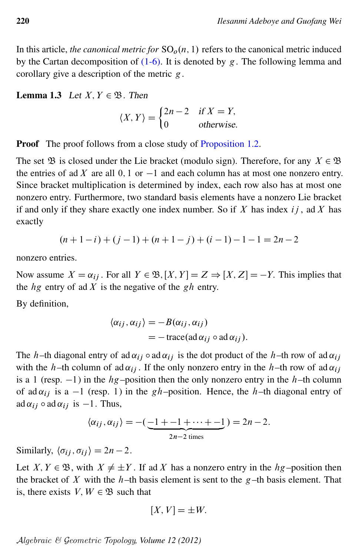In this article, *the canonical metric for*  $SO<sub>o</sub>(n, 1)$  refers to the canonical metric induced by the Cartan decomposition of  $(1-6)$ . It is denoted by g. The following lemma and corollary give a description of the metric g.

**Lemma 1.3** Let  $X, Y \in \mathfrak{B}$ . Then

$$
\langle X, Y \rangle = \begin{cases} 2n - 2 & \text{if } X = Y, \\ 0 & \text{otherwise.} \end{cases}
$$

**Proof** The proof follows from a close study of [Proposition 1.2.](#page-4-0)

The set  $\mathfrak B$  is closed under the Lie bracket (modulo sign). Therefore, for any  $X \in \mathfrak B$ the entries of ad X are all 0, 1 or  $-1$  and each column has at most one nonzero entry. Since bracket multiplication is determined by index, each row also has at most one nonzero entry. Furthermore, two standard basis elements have a nonzero Lie bracket if and only if they share exactly one index number. So if  $X$  has index  $ij$ , ad  $X$  has exactly

$$
(n+1-i) + (j-1) + (n+1-j) + (i-1) - 1 - 1 = 2n - 2
$$

nonzero entries.

Now assume  $X = \alpha_{ij}$ . For all  $Y \in \mathfrak{B}, [X, Y] = Z \Rightarrow [X, Z] = -Y$ . This implies that the  $hg$  entry of ad X is the negative of the gh entry.

By definition,

$$
\langle \alpha_{ij}, \alpha_{ij} \rangle = -B(\alpha_{ij}, \alpha_{ij})
$$
  
= - trace(ad  $\alpha_{ij} \circ ad \alpha_{ij}$ ).

The h-th diagonal entry of ad  $\alpha_{ij}$  o ad  $\alpha_{ij}$  is the dot product of the h-th row of ad  $\alpha_{ij}$ with the h–th column of ad  $\alpha_{ij}$ . If the only nonzero entry in the h–th row of ad  $\alpha_{ij}$ is a 1 (resp.  $-1$ ) in the  $hg$ -position then the only nonzero entry in the h–th column of ad  $\alpha_{ij}$  is a -1 (resp. 1) in the gh-position. Hence, the h-th diagonal entry of ad  $\alpha_{ij} \circ \text{ad } \alpha_{ij}$  is  $-1$ . Thus,

$$
\langle \alpha_{ij}, \alpha_{ij} \rangle = -(\underbrace{-1 + -1 + \cdots + -1}_{2n-2 \text{ times}}) = 2n - 2.
$$

Similarly,  $\langle \sigma_{ij}, \sigma_{ij} \rangle = 2n - 2$ .

Let  $X, Y \in \mathfrak{B}$ , with  $X \neq \pm Y$ . If ad X has a nonzero entry in the  $hg$ -position then the bracket of  $X$  with the  $h$ –th basis element is sent to the  $g$ –th basis element. That is, there exists  $V, W \in \mathfrak{B}$  such that

$$
[X, V] = \pm W.
$$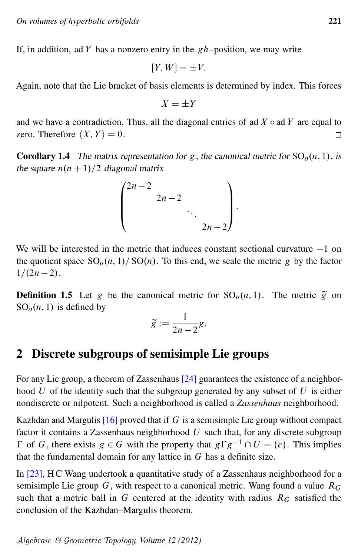If, in addition, ad Y has a nonzero entry in the  $gh$ -position, we may write

$$
[Y, W] = \pm V.
$$

Again, note that the Lie bracket of basis elements is determined by index. This forces

$$
X = \pm Y
$$

and we have a contradiction. Thus, all the diagonal entries of ad  $X \circ ad Y$  are equal to zero. Therefore  $\langle X, Y \rangle = 0$ .  $\Box$ 

<span id="page-6-1"></span>**Corollary 1.4** The matrix representation for g, the canonical metric for  $SO_0(n, 1)$ , is the square  $n(n + 1)/2$  diagonal matrix

$$
\begin{pmatrix} 2n-2 & & & \\ & 2n-2 & & \\ & & \ddots & \\ & & & 2n-2 \end{pmatrix}.
$$

We will be interested in the metric that induces constant sectional curvature  $-1$  on the quotient space  $SO<sub>o</sub>(n, 1)/SO(n)$ . To this end, we scale the metric g by the factor  $1/(2n - 2)$ .

<span id="page-6-0"></span>**Definition 1.5** Let g be the canonical metric for  $SO<sub>0</sub>(n, 1)$ . The metric  $\tilde{g}$  on  $SO<sub>o</sub>(n, 1)$  is defined by

$$
\widetilde{g}:=\frac{1}{2n-2}g.
$$

## 2 Discrete subgroups of semisimple Lie groups

For any Lie group, a theorem of Zassenhaus [\[24\]](#page-18-8) guarantees the existence of a neighborhood  $U$  of the identity such that the subgroup generated by any subset of  $U$  is either nondiscrete or nilpotent. Such a neighborhood is called a *Zassenhaus* neighborhood.

Kazhdan and Margulis  $[16]$  proved that if G is a semisimple Lie group without compact factor it contains a Zassenhaus neighborhood  $U$  such that, for any discrete subgroup  $\Gamma$  of G, there exists  $g \in G$  with the property that  $g \Gamma g^{-1} \cap U = \{e\}$ . This implies that the fundamental domain for any lattice in  $G$  has a definite size.

In [\[23\]](#page-18-1), H C Wang undertook a quantitative study of a Zassenhaus neighborhood for a semisimple Lie group G, with respect to a canonical metric. Wang found a value  $R_G$ such that a metric ball in G centered at the identity with radius  $R_G$  satisfied the conclusion of the Kazhdan–Margulis theorem.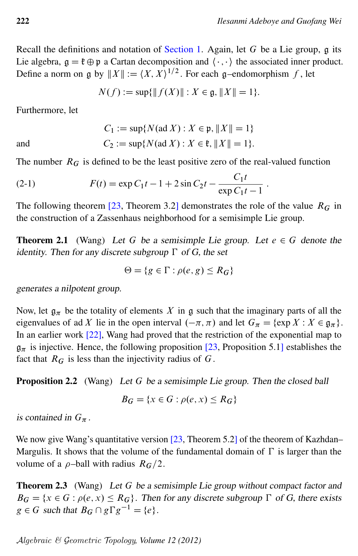Recall the definitions and notation of [Section 1.](#page-2-0) Again, let  $G$  be a Lie group,  $g$  its Lie algebra,  $\mathfrak{g} = \mathfrak{k} \oplus \mathfrak{p}$  a Cartan decomposition and  $\langle \cdot, \cdot \rangle$  the associated inner product. Define a norm on g by  $||X|| := \langle X, X \rangle^{1/2}$ . For each g-endomorphism f, let

$$
N(f) := \sup\{\|f(X)\| : X \in \mathfrak{g}, \|X\| = 1\}.
$$

Furthermore, let

and  
\n
$$
C_1 := \sup \{ N(\text{ad } X) : X \in \mathfrak{p}, ||X|| = 1 \}
$$
\n
$$
C_2 := \sup \{ N(\text{ad } X) : X \in \mathfrak{k}, ||X|| = 1 \}.
$$

The number  $R_G$  is defined to be the least positive zero of the real-valued function

(2-1) 
$$
F(t) = \exp C_1 t - 1 + 2 \sin C_2 t - \frac{C_1 t}{\exp C_1 t - 1}.
$$

The following theorem [\[23,](#page-18-1) Theorem 3.2] demonstrates the role of the value  $R_G$  in the construction of a Zassenhaus neighborhood for a semisimple Lie group.

**Theorem 2.1** (Wang) Let G be a semisimple Lie group. Let  $e \in G$  denote the identity. Then for any discrete subgroup  $\Gamma$  of G, the set

<span id="page-7-0"></span>
$$
\Theta = \{ g \in \Gamma : \rho(e, g) \le R_G \}
$$

generates a nilpotent group.

Now, let  $\mathfrak{g}_{\pi}$  be the totality of elements X in g such that the imaginary parts of all the eigenvalues of ad X lie in the open interval  $(-\pi, \pi)$  and let  $G_{\pi} = \{ \exp X : X \in \mathfrak{g}_{\pi} \}.$ In an earlier work [\[22\]](#page-18-10), Wang had proved that the restriction of the exponential map to  $g_{\pi}$  is injective. Hence, the following proposition [\[23,](#page-18-1) Proposition 5.1] establishes the fact that  $R_G$  is less than the injectivity radius of G.

<span id="page-7-1"></span>**Proposition 2.2** (Wang) Let G be a semisimple Lie group. Then the closed ball

$$
B_G = \{x \in G : \rho(e, x) \le R_G\}
$$

is contained in  $G_{\pi}$ .

We now give Wang's quantitative version [\[23,](#page-18-1) Theorem 5.2] of the theorem of Kazhdan– Margulis. It shows that the volume of the fundamental domain of  $\Gamma$  is larger than the volume of a  $\rho$ -ball with radius  $R_G/2$ .

<span id="page-7-2"></span>**Theorem 2.3** (Wang) Let G be a semisimple Lie group without compact factor and  $B_G = \{x \in G : \rho(e, x) \leq R_G\}$ . Then for any discrete subgroup  $\Gamma$  of G, there exists  $g \in G$  such that  $B_G \cap g \Gamma g^{-1} = \{e\}.$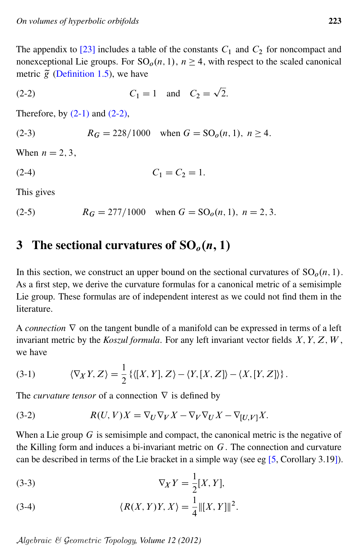The appendix to  $[23]$  includes a table of the constants  $C_1$  and  $C_2$  for noncompact and nonexceptional Lie groups. For  $SO<sub>o</sub>(n, 1)$ ,  $n \ge 4$ , with respect to the scaled canonical metric  $\tilde{g}$  [\(Definition 1.5\)](#page-6-0), we have

<span id="page-8-0"></span>(2-2) 
$$
C_1 = 1
$$
 and  $C_2 = \sqrt{2}$ .

<span id="page-8-4"></span>Therefore, by  $(2-1)$  and  $(2-2)$ ,

(2-3) 
$$
R_G = 228/1000
$$
 when  $G = SO_o(n, 1)$ ,  $n \ge 4$ .

<span id="page-8-3"></span>When  $n = 2, 3$ .

(2-4)  $C_1 = C_2 = 1.$ 

<span id="page-8-5"></span>This gives

(2-5) 
$$
R_G = 277/1000
$$
 when  $G = SO_o(n, 1)$ ,  $n = 2, 3$ .

# 3 The sectional curvatures of  $SO<sub>o</sub>(n, 1)$

In this section, we construct an upper bound on the sectional curvatures of  $SO<sub>o</sub>(n, 1)$ . As a first step, we derive the curvature formulas for a canonical metric of a semisimple Lie group. These formulas are of independent interest as we could not find them in the literature.

A *connection*  $\nabla$  on the tangent bundle of a manifold can be expressed in terms of a left invariant metric by the *Koszul formula*. For any left invariant vector fields  $X, Y, Z, W$ , we have

<span id="page-8-1"></span>(3-1) 
$$
\langle \nabla_X Y, Z \rangle = \frac{1}{2} \left\{ \langle [X, Y], Z \rangle - \langle Y, [X, Z] \rangle - \langle X, [Y, Z] \rangle \right\}.
$$

<span id="page-8-2"></span>The *curvature tensor* of a connection  $\nabla$  is defined by

(3-2) 
$$
R(U, V)X = \nabla_U \nabla_V X - \nabla_V \nabla_U X - \nabla_{[U, V]} X.
$$

When a Lie group  $G$  is semisimple and compact, the canonical metric is the negative of the Killing form and induces a bi-invariant metric on  $G$ . The connection and curvature can be described in terms of the Lie bracket in a simple way (see eg [\[5,](#page-17-3) Corollary 3.19]).

$$
\nabla_X Y = \frac{1}{2}[X, Y],
$$

(3-4) 
$$
\langle R(X,Y)Y,X\rangle = \frac{1}{4} ||[X,Y]||^2.
$$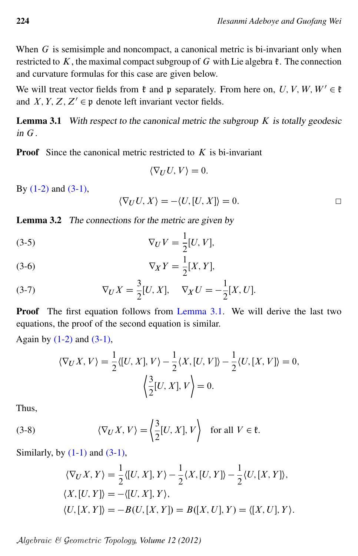When  $G$  is semisimple and noncompact, a canonical metric is bi-invariant only when restricted to K, the maximal compact subgroup of G with Lie algebra  $\ell$ . The connection and curvature formulas for this case are given below.

We will treat vector fields from  $\mathfrak k$  and p separately. From here on, U, V, W,  $W' \in \mathfrak k$ and X, Y, Z,  $Z' \in \mathfrak{p}$  denote left invariant vector fields.

<span id="page-9-0"></span>**Lemma 3.1** With respect to the canonical metric the subgroup  $K$  is totally geodesic in  $G$ .

**Proof** Since the canonical metric restricted to  $K$  is bi-invariant

 $\langle \nabla_U U, V \rangle = 0.$ 

By  $(1-2)$  and  $(3-1)$ ,

$$
\langle \nabla_U U, X \rangle = -\langle U, [U, X] \rangle = 0.
$$

<span id="page-9-2"></span>Lemma 3.2 The connections for the metric are given by

(3-5) 
$$
\nabla_U V = \frac{1}{2} [U, V],
$$

$$
\nabla_X Y = \frac{1}{2}[X, Y],
$$

(3-7) 
$$
\nabla_U X = \frac{3}{2} [U, X], \quad \nabla_X U = -\frac{1}{2} [X, U].
$$

Proof The first equation follows from [Lemma 3.1.](#page-9-0) We will derive the last two equations, the proof of the second equation is similar.

Again by  $(1-2)$  and  $(3-1)$ ,

$$
\langle \nabla_U X, V \rangle = \frac{1}{2} \langle [U, X], V \rangle - \frac{1}{2} \langle X, [U, V] \rangle - \frac{1}{2} \langle U, [X, V] \rangle = 0,
$$
  

$$
\langle \frac{3}{2} [U, X], V \rangle = 0.
$$

<span id="page-9-1"></span>Thus,

(3-8) 
$$
\langle \nabla_U X, V \rangle = \left\langle \frac{3}{2} [U, X], V \right\rangle
$$
 for all  $V \in \mathfrak{k}$ .

Similarly, by  $(1-1)$  and  $(3-1)$ ,

$$
\langle \nabla_U X, Y \rangle = \frac{1}{2} \langle [U, X], Y \rangle - \frac{1}{2} \langle X, [U, Y] \rangle - \frac{1}{2} \langle U, [X, Y] \rangle,
$$
  

$$
\langle X, [U, Y] \rangle = - \langle [U, X], Y \rangle,
$$
  

$$
\langle U, [X, Y] \rangle = -B(U, [X, Y]) = B([X, U], Y) = \langle [X, U], Y \rangle.
$$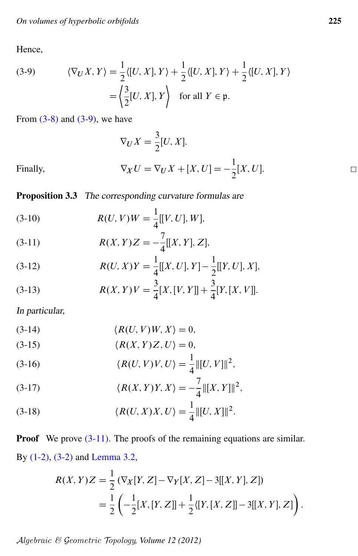Hence,

<span id="page-10-0"></span>(3-9) 
$$
\langle \nabla_U X, Y \rangle = \frac{1}{2} \langle [U, X], Y \rangle + \frac{1}{2} \langle [U, X], Y \rangle + \frac{1}{2} \langle [U, X], Y \rangle
$$

$$
= \left\langle \frac{3}{2} [U, X], Y \right\rangle \text{ for all } Y \in \mathfrak{p}.
$$

From  $(3-8)$  and  $(3-9)$ , we have

$$
\nabla_U X = \frac{3}{2} [U, X].
$$
  
\n
$$
\nabla_X U = \nabla_U X + [X, U] = -\frac{1}{2} [X, U].
$$

Finally,

**Proposition 3.3** The corresponding curvature formulas are

<span id="page-10-1"></span>(3-10) 
$$
R(U, V)W = \frac{1}{4}[[V, U], W],
$$

(3-11) 
$$
R(X,Y)Z = -\frac{7}{4}[[X,Y],Z],
$$

(3-12) 
$$
R(U, X)Y = \frac{1}{4}[[X, U], Y] - \frac{1}{2}[[Y, U], X],
$$

(3-13) 
$$
R(X,Y)V = \frac{3}{4}[X,[V,Y]] + \frac{3}{4}[Y,[X,V]].
$$

In particular,

<span id="page-10-2"></span>
$$
(3-14) \t\t \langle R(U,V)W,X\rangle = 0,
$$

$$
(3-15) \qquad \qquad \langle R(X,Y)Z,U\rangle = 0,
$$

(3-16) 
$$
\langle R(U,V)V,U\rangle = \frac{1}{4} ||[U,V]||^2,
$$

(3-17) 
$$
\langle R(X,Y)Y,X\rangle = -\frac{7}{4} ||[X,Y]||^2,
$$

(3-18) 
$$
\langle R(U, X)X, U \rangle = \frac{1}{4} ||[U, X]||^2.
$$

**Proof** We prove  $(3-11)$ . The proofs of the remaining equations are similar. By  $(1-2)$ ,  $(3-2)$  and Lemma 3.2,

$$
R(X,Y)Z = \frac{1}{2} \left( \nabla_X[Y,Z] - \nabla_Y[X,Z] - 3[[X,Y],Z] \right)
$$
  
= 
$$
\frac{1}{2} \left( -\frac{1}{2}[X,[Y,Z]] + \frac{1}{2}\langle [Y,[X,Z]] - 3[[X,Y],Z] \right).
$$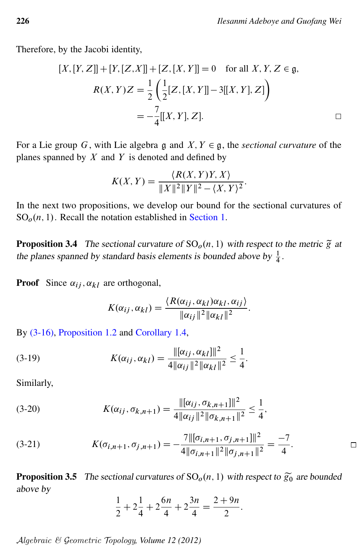Therefore, by the Jacobi identity,

$$
[X, [Y, Z]] + [Y, [Z, X]] + [Z, [X, Y]] = 0 \text{ for all } X, Y, Z \in \mathfrak{g},
$$
  

$$
R(X, Y)Z = \frac{1}{2} \left( \frac{1}{2} [Z, [X, Y]] - 3[[X, Y], Z] \right)
$$
  

$$
= -\frac{7}{4} [[X, Y], Z].
$$

For a Lie group G, with Lie algebra g and  $X, Y \in \mathfrak{g}$ , the *sectional curvature* of the planes spanned by  $X$  and  $Y$  is denoted and defined by

$$
K(X,Y) = \frac{\langle R(X,Y)Y,X \rangle}{\|X\|^2 \|Y\|^2 - \langle X,Y \rangle^2}.
$$

In the next two propositions, we develop our bound for the sectional curvatures of  $SO<sub>o</sub>(n, 1)$ . Recall the notation established in [Section 1.](#page-2-0)

**Proposition 3.4** The sectional curvature of  $SO<sub>o</sub>(n, 1)$  with respect to the metric  $\tilde{g}$  at the planes spanned by standard basis elements is bounded above by  $\frac{1}{4}$ .

**Proof** Since  $\alpha_{ij}$ ,  $\alpha_{kl}$  are orthogonal,

$$
K(\alpha_{ij}, \alpha_{kl}) = \frac{\langle R(\alpha_{ij}, \alpha_{kl})\alpha_{kl}, \alpha_{ij}\rangle}{\|\alpha_{ij}\|^2 \|\alpha_{kl}\|^2}.
$$

By [\(3-16\),](#page-10-2) [Proposition 1.2](#page-4-0) and [Corollary 1.4,](#page-6-1)

(3-19) 
$$
K(\alpha_{ij}, \alpha_{kl}) = \frac{\|[\alpha_{ij}, \alpha_{kl}]\|^2}{4\|\alpha_{ij}\|^2 \|\alpha_{kl}\|^2} \leq \frac{1}{4}.
$$

Similarly,

(3-20) 
$$
K(\alpha_{ij}, \sigma_{k,n+1}) = \frac{\|[\alpha_{ij}, \sigma_{k,n+1}]\|^2}{4\|\alpha_{ij}\|^2\|\sigma_{k,n+1}\|^2} \leq \frac{1}{4},
$$

$$
(3-21) \t K(\sigma_{i,n+1}, \sigma_{j,n+1}) = -\frac{7||[\sigma_{i,n+1}, \sigma_{j,n+1}]||^2}{4||\sigma_{i,n+1}||^2||\sigma_{j,n+1}||^2} = \frac{-7}{4}.
$$

<span id="page-11-0"></span>**Proposition 3.5** The sectional curvatures of  $SO<sub>o</sub>(n, 1)$  with respect to  $\widetilde{g}_0$  are bounded above by

$$
\frac{1}{2} + 2\frac{1}{4} + 2\frac{6n}{4} + 2\frac{3n}{4} = \frac{2+9n}{2}.
$$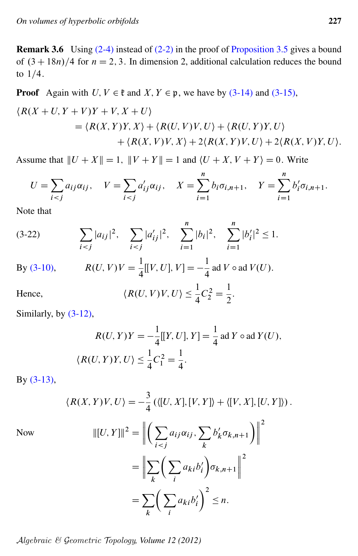<span id="page-12-0"></span>**Remark 3.6** Using  $(2-4)$  instead of  $(2-2)$  in the proof of Proposition 3.5 gives a bound of  $(3 + 18n)/4$  for  $n = 2, 3$ . In dimension 2, additional calculation reduces the bound to  $1/4$ .

**Proof** Again with  $U, V \in \mathfrak{k}$  and  $X, Y \in \mathfrak{p}$ , we have by (3-14) and (3-15),

$$
\langle R(X+U, Y+V)Y+V, X+U \rangle
$$
  
=  $\langle R(X,Y)Y, X \rangle + \langle R(U,V)V, U \rangle + \langle R(U,Y)Y, U \rangle$   
+  $\langle R(X,V)V, X \rangle + 2\langle R(X,Y)V, U \rangle + 2\langle R(X,V)Y, U \rangle$ 

Assume that  $||U + X|| = 1$ ,  $||V + Y|| = 1$  and  $\langle U + X, V + Y \rangle = 0$ . Write

$$
U = \sum_{i < j} a_{ij} \alpha_{ij}, \quad V = \sum_{i < j} a'_{ij} \alpha_{ij}, \quad X = \sum_{i=1}^{n} b_i \sigma_{i, n+1}, \quad Y = \sum_{i=1}^{n} b'_i \sigma_{i, n+1}.
$$

Note that

$$
(3-22) \qquad \sum_{i < j} |a_{ij}|^2, \quad \sum_{i < j} |a'_{ij}|^2, \quad \sum_{i=1}^n |b_i|^2, \quad \sum_{i=1}^n |b'_i|^2 \le 1.
$$

By (3-10),  $R(U, V)V = \frac{1}{4}[[V, U], V] = -\frac{1}{4}$  ad  $V \circ \text{ad } V(U)$ .

Hence, 
$$
\langle R(U, V)V, U \rangle \le \frac{1}{4}C_2^2 = \frac{1}{2}
$$

Similarly, by  $(3-12)$ ,

$$
R(U, Y)Y = -\frac{1}{4}[[Y, U], Y] = \frac{1}{4} \text{ ad } Y \circ \text{ ad } Y(U),
$$
  

$$
\langle R(U, Y)Y, U \rangle \le \frac{1}{4}C_1^2 = \frac{1}{4}.
$$

By  $(3-13)$ ,

$$
\langle R(X,Y)V,U\rangle = -\frac{3}{4} \left( \langle [U,X],[V,Y] \rangle + \langle [V,X],[U,Y] \rangle \right).
$$

**Now** 

$$
\| [U, Y] \|^2 = \left\| \left( \sum_{i < j} a_{ij} \alpha_{ij}, \sum_k b'_k \sigma_{k, n+1} \right) \right\|^2
$$
\n
$$
= \left\| \sum_k \left( \sum_i a_{ki} b'_i \right) \sigma_{k, n+1} \right\|^2
$$
\n
$$
= \sum_k \left( \sum_i a_{ki} b'_i \right)^2 \le n.
$$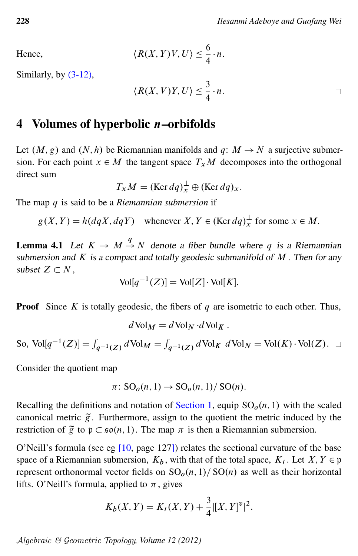Hence, 
$$
\langle R(X,Y)V, U \rangle \leq \frac{6}{4} \cdot n
$$
.

Similarly, by [\(3-12\),](#page-10-1)

$$
\langle R(X,V)Y,U\rangle \leq \frac{3}{4}\cdot n.
$$

### <span id="page-13-0"></span>4 Volumes of hyperbolic n–orbifolds

Let  $(M, g)$  and  $(N, h)$  be Riemannian manifolds and  $q: M \rightarrow N$  a surjective submersion. For each point  $x \in M$  the tangent space  $T_xM$  decomposes into the orthogonal direct sum

 $T_x M = (\text{Ker } dq)_x^{\perp} \oplus (\text{Ker } dq)_x.$ 

The map q is said to be a *Riemannian submersion* if

 $g(X, Y) = h(dqX, dqY)$  whenever  $X, Y \in (\text{Ker } dq)_x^{\perp}$  $\frac{1}{x}$  for some  $x \in M$ .

<span id="page-13-1"></span>**Lemma 4.1** Let  $K \to M \stackrel{q}{\to} N$  denote a fiber bundle where q is a Riemannian submersion and  $K$  is a compact and totally geodesic submanifold of  $M$ . Then for any subset  $Z \subset N$ ,

$$
Vol[q^{-1}(Z)] = Vol[Z] \cdot Vol[K].
$$

**Proof** Since K is totally geodesic, the fibers of q are isometric to each other. Thus,

$$
d\operatorname{Vol}_M = d\operatorname{Vol}_N \cdot d\operatorname{Vol}_K.
$$

So,  $\text{Vol}[q^{-1}(Z)] = \int_{q^{-1}(Z)} d\text{Vol}_M = \int_{q^{-1}(Z)} d\text{Vol}_K d\text{Vol}_N = \text{Vol}(K) \cdot \text{Vol}(Z).$ 

Consider the quotient map

$$
\pi\colon SO_o(n,1)\to SO_o(n,1)/SO(n).
$$

Recalling the definitions and notation of [Section 1,](#page-2-0) equip  $SO<sub>o</sub>(n, 1)$  with the scaled canonical metric  $\tilde{g}$ . Furthermore, assign to the quotient the metric induced by the restriction of  $\tilde{g}$  to  $\mathfrak{p} \subset \mathfrak{so}(n, 1)$ . The map  $\pi$  is then a Riemannian submersion.

O'Neill's formula (see eg [\[10,](#page-18-2) page 127]) relates the sectional curvature of the base space of a Riemannian submersion,  $K_b$ , with that of the total space,  $K_t$ . Let  $X, Y \in \mathfrak{p}$ represent orthonormal vector fields on  $SO<sub>o</sub>(n, 1)/SO(n)$  as well as their horizontal lifts. O'Neill's formula, applied to  $\pi$ , gives

$$
K_b(X, Y) = K_t(X, Y) + \frac{3}{4} |[X, Y]^{\nu}|^2.
$$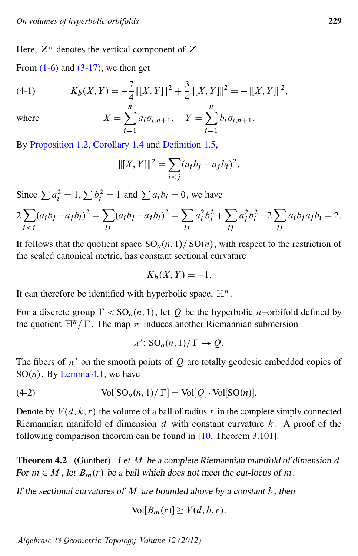Here,  $Z^v$  denotes the vertical component of  $Z$ .

From  $(1-6)$  and  $(3-17)$ , we then get

(4-1) 
$$
K_b(X,Y) = -\frac{7}{4} ||[X,Y]||^2 + \frac{3}{4} ||[X,Y]||^2 = -||[X,Y]||^2,
$$

where 
$$
X = \sum_{i=1}^{n} a_i \sigma_{i,n+1}, \quad Y = \sum_{i=1}^{n} b_i \sigma_{i,n+1}.
$$

By [Proposition 1.2,](#page-4-0) [Corollary 1.4](#page-6-1) and [Definition 1.5,](#page-6-0)

$$
||[X, Y]||^2 = \sum_{i < j} (a_i b_j - a_j b_i)^2.
$$

Since  $\sum a_i^2 = 1$ ,  $\sum b_i^2 = 1$  and  $\sum a_i b_i = 0$ , we have

$$
2\sum_{i < j} (a_i b_j - a_j b_i)^2 = \sum_{ij} (a_i b_j - a_j b_i)^2 = \sum_{ij} a_i^2 b_j^2 + \sum_{ij} a_j^2 b_i^2 - 2 \sum_{ij} a_i b_j a_j b_i = 2.
$$

It follows that the quotient space  $SO<sub>0</sub>(n, 1)/SO(n)$ , with respect to the restriction of the scaled canonical metric, has constant sectional curvature

$$
K_b(X, Y) = -1.
$$

It can therefore be identified with hyperbolic space,  $\mathbb{H}^n$ .

For a discrete group  $\Gamma < SO_0(n, 1)$ , let Q be the hyperbolic n–orbifold defined by the quotient  $\mathbb{H}^n/\Gamma$ . The map  $\pi$  induces another Riemannian submersion

<span id="page-14-1"></span>
$$
\pi' \colon \mathrm{SO}_o(n,1)/\,\Gamma \to Q.
$$

The fibers of  $\pi'$  on the smooth points of Q are totally geodesic embedded copies of  $SO(n)$ . By [Lemma 4.1,](#page-13-1) we have

(4-2) 
$$
Vol[SOo(n, 1)/\Gamma] = Vol[Q] \cdot Vol[SO(n)].
$$

Denote by  $V(d, k, r)$  the volume of a ball of radius r in the complete simply connected Riemannian manifold of dimension d with constant curvature  $k$ . A proof of the following comparison theorem can be found in [\[10,](#page-18-2) Theorem 3.101].

<span id="page-14-0"></span>**Theorem 4.2** (Gunther) Let  $M$  be a complete Riemannian manifold of dimension  $d$ . For  $m \in M$ , let  $B_m(r)$  be a ball which does not meet the cut-locus of m.

If the sectional curvatures of  $M$  are bounded above by a constant  $b$ , then

$$
Vol[B_m(r)] \ge V(d, b, r).
$$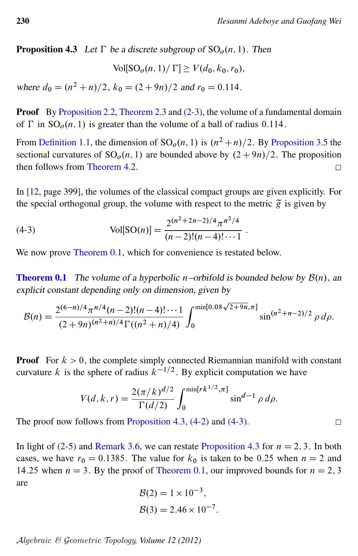<span id="page-15-0"></span>**Proposition 4.3** Let  $\Gamma$  be a discrete subgroup of  $SO<sub>o</sub>(n, 1)$ . Then

$$
Vol[SOo(n, 1)/\Gamma] \ge V(d_0, k_0, r_0),
$$

where  $d_0 = (n^2 + n)/2$ ,  $k_0 = (2 + 9n)/2$  and  $r_0 = 0.114$ .

**Proof** By Proposition 2.2, Theorem 2.3 and  $(2-3)$ , the volume of a fundamental domain of  $\Gamma$  in  $SO<sub>o</sub>(n, 1)$  is greater than the volume of a ball of radius 0.114.

From Definition 1.1, the dimension of  $SO<sub>0</sub>(n, 1)$  is  $(n^2 + n)/2$ . By Proposition 3.5 the sectional curvatures of  $SO<sub>o</sub>(n, 1)$  are bounded above by  $(2+9n)/2$ . The proposition then follows from Theorem 4.2.  $\Box$ 

In  $[12, \text{page 399}]$ , the volumes of the classical compact groups are given explicitly. For the special orthogonal group, the volume with respect to the metric  $\tilde{g}$  is given by

(4-3) 
$$
Vol[SO(n)] = \frac{2^{(n^2+2n-2)/4} \pi^{n^2/4}}{(n-2)!(n-4)!\cdots 1}
$$

We now prove Theorem 0.1, which for convenience is restated below.

**Theorem 0.1** The volume of a hyperbolic *n*-orbifold is bounded below by  $\mathcal{B}(n)$ , an explicit constant depending only on dimension, given by

$$
\mathcal{B}(n) = \frac{2^{(6-n)/4} \pi^{n/4} (n-2)!(n-4)!\cdots 1}{(2+9n)^{(n^2+n)/4} \Gamma((n^2+n)/4)} \int_0^{\min[0.08\sqrt{2+9n}, \pi]} \sin^{(n^2+n-2)/2} \rho \, d\rho.
$$

**Proof** For  $k > 0$ , the complete simply connected Riemannian manifold with constant curvature k is the sphere of radius  $k^{-1/2}$ . By explicit computation we have

$$
V(d, k, r) = \frac{2(\pi/k)^{d/2}}{\Gamma(d/2)} \int_0^{\min[rk^{1/2}, \pi]} \sin^{d-1} \rho \, d\rho.
$$

The proof now follows from Proposition 4.3,  $(4-2)$  and  $(4-3)$ .

In light of (2-5) and Remark 3.6, we can restate Proposition 4.3 for  $n = 2, 3$ . In both cases, we have  $r_0 = 0.1385$ . The value for  $k_0$  is taken to be 0.25 when  $n = 2$  and 14.25 when  $n = 3$ . By the proof of Theorem 0.1, our improved bounds for  $n = 2, 3$ are

$$
\mathcal{B}(2) = 1 \times 10^{-3},
$$
  

$$
\mathcal{B}(3) = 2.46 \times 10^{-7}.
$$

 $Algebraic \& Geometric \, Topology, Volume \, 12 \, (2012)$ 

<span id="page-15-1"></span> $\Box$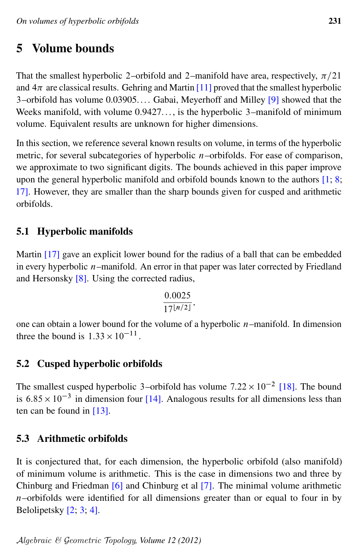# <span id="page-16-0"></span>5 Volume bounds

That the smallest hyperbolic 2–orbifold and 2–manifold have area, respectively,  $\pi/21$ and  $4\pi$  are classical results. Gehring and Martin [\[11\]](#page-18-5) proved that the smallest hyperbolic 3–orbifold has volume 0.03905.... Gabai, Meyerhoff and Milley [\[9\]](#page-18-12) showed that the Weeks manifold, with volume  $0.9427...$ , is the hyperbolic 3–manifold of minimum volume. Equivalent results are unknown for higher dimensions.

In this section, we reference several known results on volume, in terms of the hyperbolic metric, for several subcategories of hyperbolic  $n$ -orbifolds. For ease of comparison, we approximate to two significant digits. The bounds achieved in this paper improve upon the general hyperbolic manifold and orbifold bounds known to the authors [\[1;](#page-17-1) [8;](#page-17-0) [17\]](#page-18-0). However, they are smaller than the sharp bounds given for cusped and arithmetic orbifolds.

### 5.1 Hyperbolic manifolds

Martin [\[17\]](#page-18-0) gave an explicit lower bound for the radius of a ball that can be embedded in every hyperbolic  $n$ -manifold. An error in that paper was later corrected by Friedland and Hersonsky [\[8\]](#page-17-0). Using the corrected radius,

$$
\frac{0.0025}{17^{\lfloor n/2 \rfloor}},
$$

one can obtain a lower bound for the volume of a hyperbolic  $n$ –manifold. In dimension three the bound is  $1.33 \times 10^{-11}$ .

### 5.2 Cusped hyperbolic orbifolds

The smallest cusped hyperbolic 3–orbifold has volume  $7.22 \times 10^{-2}$  [\[18\]](#page-18-13). The bound is  $6.85 \times 10^{-3}$  in dimension four [\[14\]](#page-18-14). Analogous results for all dimensions less than ten can be found in [\[13\]](#page-18-15).

### 5.3 Arithmetic orbifolds

It is conjectured that, for each dimension, the hyperbolic orbifold (also manifold) of minimum volume is arithmetic. This is the case in dimensions two and three by Chinburg and Friedman [\[6\]](#page-17-4) and Chinburg et al [\[7\]](#page-17-5). The minimal volume arithmetic  $n$ –orbifolds were identified for all dimensions greater than or equal to four in by Belolipetsky [\[2;](#page-17-2) [3;](#page-17-6) [4\]](#page-17-7).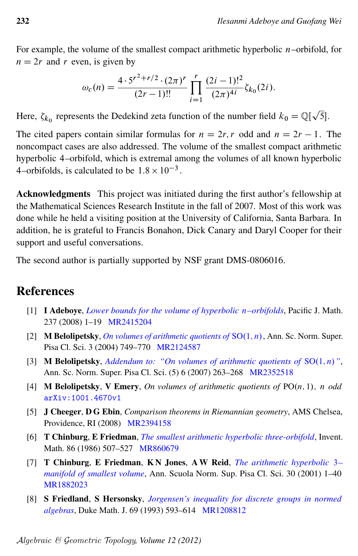For example, the volume of the smallest compact arithmetic hyperbolic  $n$ -orbifold, for  $n = 2r$  and r even, is given by

$$
\omega_c(n) = \frac{4 \cdot 5^{r^2 + r/2} \cdot (2\pi)^r}{(2r - 1)!!} \prod_{i=1}^r \frac{(2i - 1)!^2}{(2\pi)^{4i}} \zeta_{k_0}(2i).
$$

Here,  $\zeta_{k_0}$  represents the Dedekind zeta function of the number field  $k_0 = \mathbb{Q}[\sqrt{5}]$ .

The cited papers contain similar formulas for  $n = 2r$ , r odd and  $n = 2r - 1$ . The noncompact cases are also addressed. The volume of the smallest compact arithmetic hyperbolic 4–orbifold, which is extremal among the volumes of all known hyperbolic 4–orbifolds, is calculated to be  $1.8 \times 10^{-3}$ .

Acknowledgments This project was initiated during the first author's fellowship at the Mathematical Sciences Research Institute in the fall of 2007. Most of this work was done while he held a visiting position at the University of California, Santa Barbara. In addition, he is grateful to Francis Bonahon, Dick Canary and Daryl Cooper for their support and useful conversations.

The second author is partially supported by NSF grant DMS-0806016.

# References

- <span id="page-17-1"></span>[1] I Adeboye, *[Lower bounds for the volume of hyperbolic](http://dx.doi.org/10.2140/pjm.2008.237.1)* n*–orbifolds*, Pacific J. Math. 237 (2008) 1–19 [MR2415204](http://www.ams.org/mathscinet-getitem?mr=2415204)
- <span id="page-17-2"></span>[2] **M Belolipetsky**, *[On volumes of arithmetic quotients of](http://dx.doi.org/10.2422/2036-2145.2004.4.04)*  $SO(1, n)$ , Ann. Sc. Norm. Super. Pisa Cl. Sci. 3 (2004) 749–770 [MR2124587](http://www.ams.org/mathscinet-getitem?mr=2124587)
- <span id="page-17-6"></span>[3] **M Belolipetsky,** *[Addendum to: "On volumes of arithmetic quotients of](http://dx.doi.org/10.2422/2036-2145.2007.2.02)*  $SO(1, n)$ ", Ann. Sc. Norm. Super. Pisa Cl. Sci. (5) 6 (2007) 263–268 [MR2352518](http://www.ams.org/mathscinet-getitem?mr=2352518)
- <span id="page-17-7"></span>[4] **M Belolipetsky, V Emery,** *On volumes of arithmetic quotients of*  $PO(n, 1)$ *, n odd* [arXiv:1001.4670v1](http://arxiv.org/abs/1001.4670v1)
- <span id="page-17-3"></span>[5] J Cheeger, D G Ebin, *Comparison theorems in Riemannian geometry*, AMS Chelsea, Providence, RI (2008) [MR2394158](http://www.ams.org/mathscinet-getitem?mr=2394158)
- <span id="page-17-4"></span>[6] T Chinburg, E Friedman, *[The smallest arithmetic hyperbolic three-orbifold](http://dx.doi.org/10.1007/BF01389265)*, Invent. Math. 86 (1986) 507-527 [MR860679](http://www.ams.org/mathscinet-getitem?mr=860679)
- <span id="page-17-5"></span>[7] T Chinburg, E Friedman, K N Jones, A W Reid, *[The arithmetic hyperbolic](http://www.numdam.org/item?id=ASNSP_2001_4_30_1_1_0)* 3*– [manifold of smallest volume](http://www.numdam.org/item?id=ASNSP_2001_4_30_1_1_0)*, Ann. Scuola Norm. Sup. Pisa Cl. Sci. 30 (2001) 1–40 [MR1882023](http://www.ams.org/mathscinet-getitem?mr=1882023)
- <span id="page-17-0"></span>[8] S Friedland, S Hersonsky, *[Jorgensen's inequality for discrete groups in normed](http://dx.doi.org/10.1215/S0012-7094-93-06924-4) [algebras](http://dx.doi.org/10.1215/S0012-7094-93-06924-4)*, Duke Math. J. 69 (1993) 593–614 [MR1208812](http://www.ams.org/mathscinet-getitem?mr=1208812)